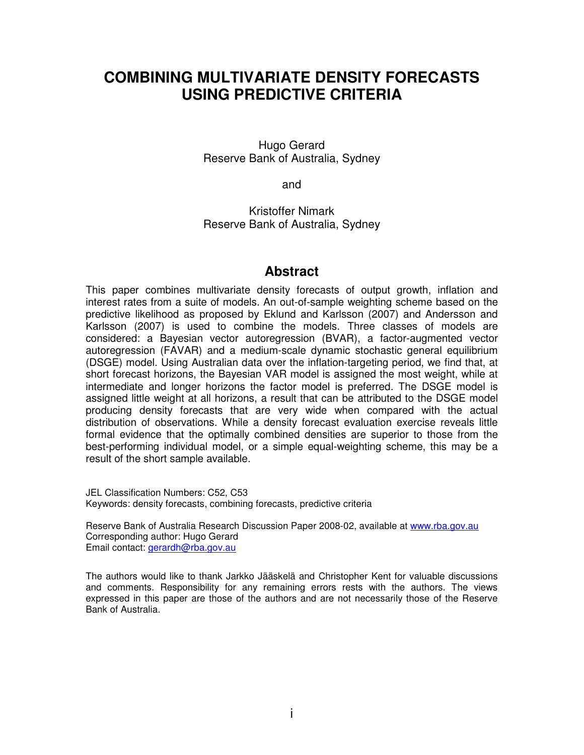# **COMBINING MULTIVARIATE DENSITY FORECASTS USING PREDICTIVE CRITERIA**

Hugo Gerard Reserve Bank of Australia, Sydney

and

Kristoffer Nimark Reserve Bank of Australia, Sydney

## **Abstract**

This paper combines multivariate density forecasts of output growth, inflation and interest rates from a suite of models. An out-of-sample weighting scheme based on the predictive likelihood as proposed by Eklund and Karlsson (2007) and Andersson and Karlsson (2007) is used to combine the models. Three classes of models are considered: a Bayesian vector autoregression (BVAR), a factor-augmented vector autoregression (FAVAR) and a medium-scale dynamic stochastic general equilibrium (DSGE) model. Using Australian data over the inflation-targeting period, we find that, at short forecast horizons, the Bayesian VAR model is assigned the most weight, while at intermediate and longer horizons the factor model is preferred. The DSGE model is assigned little weight at all horizons, a result that can be attributed to the DSGE model producing density forecasts that are very wide when compared with the actual distribution of observations. While a density forecast evaluation exercise reveals little formal evidence that the optimally combined densities are superior to those from the best-performing individual model, or a simple equal-weighting scheme, this may be a result of the short sample available.

JEL Classification Numbers: C52, C53 Keywords: density forecasts, combining forecasts, predictive criteria

Reserve Bank of Australia Research Discussion Paper 2008-02, available at www.rba.gov.au Corresponding author: Hugo Gerard Email contact: gerardh@rba.gov.au

The authors would like to thank Jarkko Jääskelä and Christopher Kent for valuable discussions and comments. Responsibility for any remaining errors rests with the authors. The views expressed in this paper are those of the authors and are not necessarily those of the Reserve Bank of Australia.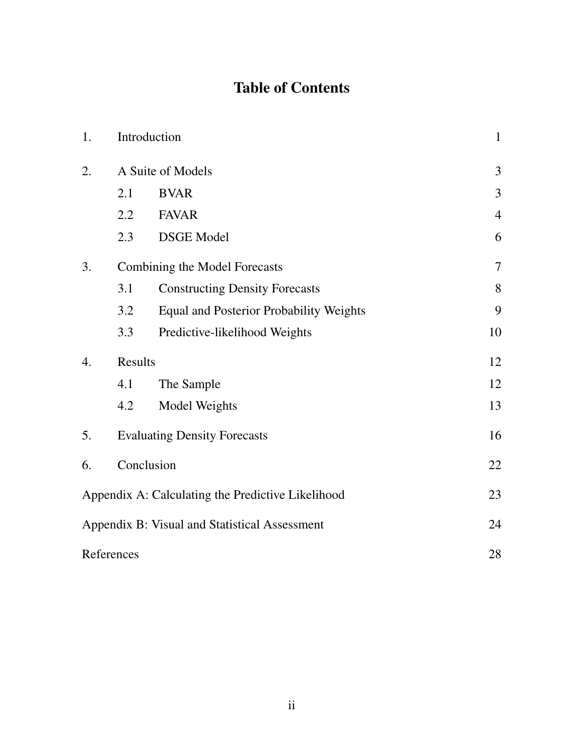# Table of Contents

| 1. |                               | Introduction                                      | $\mathbf{1}$   |
|----|-------------------------------|---------------------------------------------------|----------------|
| 2. |                               | A Suite of Models                                 | 3              |
|    | 2.1                           | <b>BVAR</b>                                       | 3              |
|    | 2.2                           | <b>FAVAR</b>                                      | $\overline{4}$ |
|    | 2.3                           | <b>DSGE</b> Model                                 | 6              |
| 3. | Combining the Model Forecasts | $\overline{7}$                                    |                |
|    | 3.1                           | <b>Constructing Density Forecasts</b>             | 8              |
|    | 3.2                           | <b>Equal and Posterior Probability Weights</b>    | 9              |
|    | 3.3                           | Predictive-likelihood Weights                     | 10             |
| 4. | Results                       | 12                                                |                |
|    | 4.1                           | The Sample                                        | 12             |
|    | 4.2                           | Model Weights                                     | 13             |
| 5. |                               | <b>Evaluating Density Forecasts</b>               | 16             |
| 6. |                               | Conclusion                                        | 22             |
|    |                               | Appendix A: Calculating the Predictive Likelihood | 23             |
|    |                               | Appendix B: Visual and Statistical Assessment     | 24             |
|    | References                    |                                                   | 28             |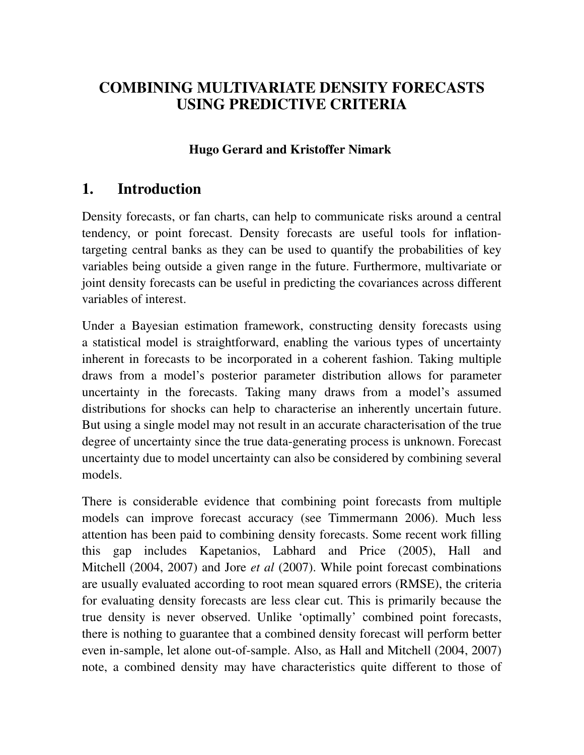# COMBINING MULTIVARIATE DENSITY FORECASTS USING PREDICTIVE CRITERIA

## Hugo Gerard and Kristoffer Nimark

# 1. Introduction

Density forecasts, or fan charts, can help to communicate risks around a central tendency, or point forecast. Density forecasts are useful tools for inflationtargeting central banks as they can be used to quantify the probabilities of key variables being outside a given range in the future. Furthermore, multivariate or joint density forecasts can be useful in predicting the covariances across different variables of interest.

Under a Bayesian estimation framework, constructing density forecasts using a statistical model is straightforward, enabling the various types of uncertainty inherent in forecasts to be incorporated in a coherent fashion. Taking multiple draws from a model's posterior parameter distribution allows for parameter uncertainty in the forecasts. Taking many draws from a model's assumed distributions for shocks can help to characterise an inherently uncertain future. But using a single model may not result in an accurate characterisation of the true degree of uncertainty since the true data-generating process is unknown. Forecast uncertainty due to model uncertainty can also be considered by combining several models.

There is considerable evidence that combining point forecasts from multiple models can improve forecast accuracy (see Timmermann 2006). Much less attention has been paid to combining density forecasts. Some recent work filling this gap includes Kapetanios, Labhard and Price (2005), Hall and Mitchell (2004, 2007) and Jore *et al* (2007). While point forecast combinations are usually evaluated according to root mean squared errors (RMSE), the criteria for evaluating density forecasts are less clear cut. This is primarily because the true density is never observed. Unlike 'optimally' combined point forecasts, there is nothing to guarantee that a combined density forecast will perform better even in-sample, let alone out-of-sample. Also, as Hall and Mitchell (2004, 2007) note, a combined density may have characteristics quite different to those of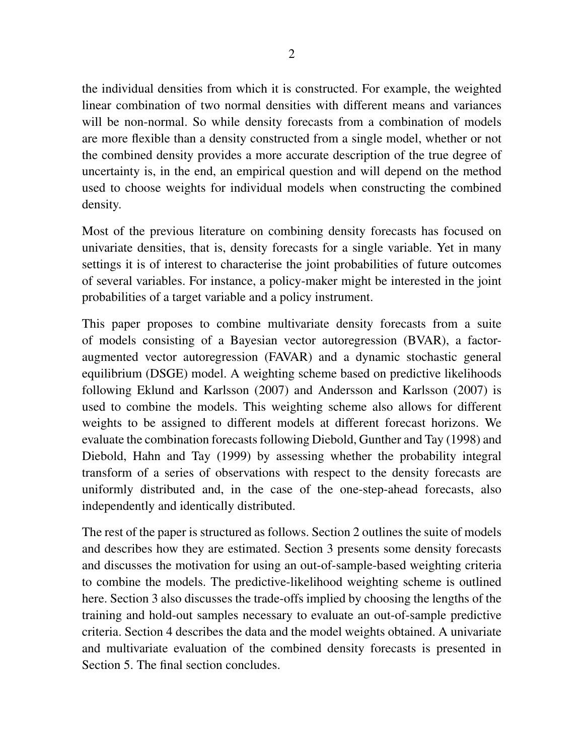the individual densities from which it is constructed. For example, the weighted linear combination of two normal densities with different means and variances will be non-normal. So while density forecasts from a combination of models are more flexible than a density constructed from a single model, whether or not the combined density provides a more accurate description of the true degree of uncertainty is, in the end, an empirical question and will depend on the method used to choose weights for individual models when constructing the combined density.

Most of the previous literature on combining density forecasts has focused on univariate densities, that is, density forecasts for a single variable. Yet in many settings it is of interest to characterise the joint probabilities of future outcomes of several variables. For instance, a policy-maker might be interested in the joint probabilities of a target variable and a policy instrument.

This paper proposes to combine multivariate density forecasts from a suite of models consisting of a Bayesian vector autoregression (BVAR), a factoraugmented vector autoregression (FAVAR) and a dynamic stochastic general equilibrium (DSGE) model. A weighting scheme based on predictive likelihoods following Eklund and Karlsson (2007) and Andersson and Karlsson (2007) is used to combine the models. This weighting scheme also allows for different weights to be assigned to different models at different forecast horizons. We evaluate the combination forecasts following Diebold, Gunther and Tay (1998) and Diebold, Hahn and Tay (1999) by assessing whether the probability integral transform of a series of observations with respect to the density forecasts are uniformly distributed and, in the case of the one-step-ahead forecasts, also independently and identically distributed.

The rest of the paper is structured as follows. Section 2 outlines the suite of models and describes how they are estimated. Section 3 presents some density forecasts and discusses the motivation for using an out-of-sample-based weighting criteria to combine the models. The predictive-likelihood weighting scheme is outlined here. Section 3 also discusses the trade-offs implied by choosing the lengths of the training and hold-out samples necessary to evaluate an out-of-sample predictive criteria. Section 4 describes the data and the model weights obtained. A univariate and multivariate evaluation of the combined density forecasts is presented in Section 5. The final section concludes.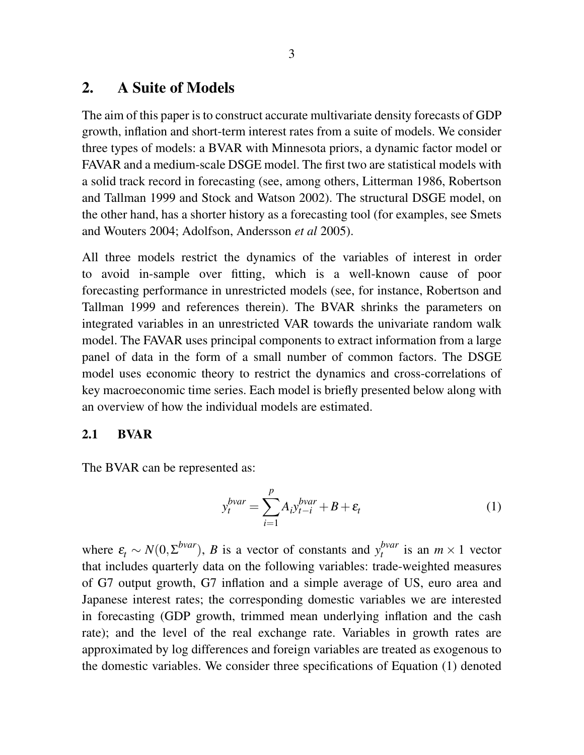# 2. A Suite of Models

The aim of this paper is to construct accurate multivariate density forecasts of GDP growth, inflation and short-term interest rates from a suite of models. We consider three types of models: a BVAR with Minnesota priors, a dynamic factor model or FAVAR and a medium-scale DSGE model. The first two are statistical models with a solid track record in forecasting (see, among others, Litterman 1986, Robertson and Tallman 1999 and Stock and Watson 2002). The structural DSGE model, on the other hand, has a shorter history as a forecasting tool (for examples, see Smets and Wouters 2004; Adolfson, Andersson *et al* 2005).

All three models restrict the dynamics of the variables of interest in order to avoid in-sample over fitting, which is a well-known cause of poor forecasting performance in unrestricted models (see, for instance, Robertson and Tallman 1999 and references therein). The BVAR shrinks the parameters on integrated variables in an unrestricted VAR towards the univariate random walk model. The FAVAR uses principal components to extract information from a large panel of data in the form of a small number of common factors. The DSGE model uses economic theory to restrict the dynamics and cross-correlations of key macroeconomic time series. Each model is briefly presented below along with an overview of how the individual models are estimated.

### 2.1 BVAR

The BVAR can be represented as:

$$
y_t^{bvar} = \sum_{i=1}^p A_i y_{t-i}^{bvar} + B + \varepsilon_t
$$
 (1)

where  $\varepsilon_t \sim N(0, \Sigma^{bvar})$ , *B* is a vector of constants and  $y_t^{bvar}$  $t_t^{vvar}$  is an  $m \times 1$  vector that includes quarterly data on the following variables: trade-weighted measures of G7 output growth, G7 inflation and a simple average of US, euro area and Japanese interest rates; the corresponding domestic variables we are interested in forecasting (GDP growth, trimmed mean underlying inflation and the cash rate); and the level of the real exchange rate. Variables in growth rates are approximated by log differences and foreign variables are treated as exogenous to the domestic variables. We consider three specifications of Equation (1) denoted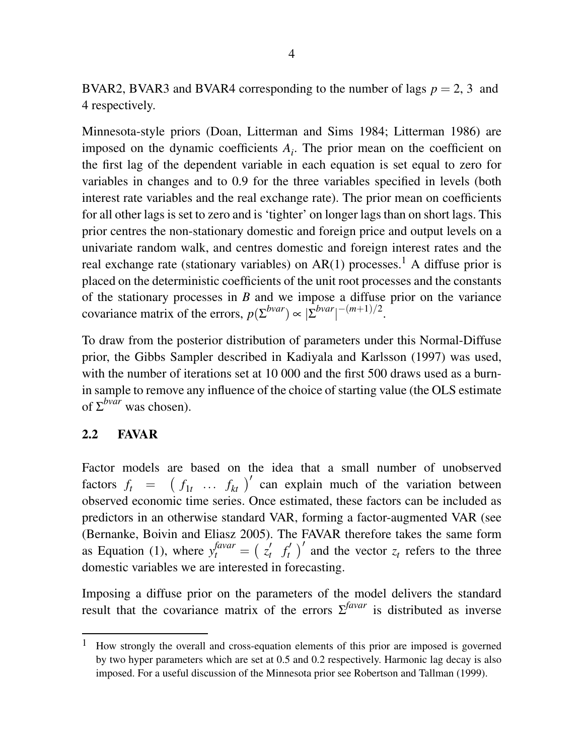BVAR2, BVAR3 and BVAR4 corresponding to the number of lags  $p = 2$ , 3 and 4 respectively.

Minnesota-style priors (Doan, Litterman and Sims 1984; Litterman 1986) are imposed on the dynamic coefficients  $A_i$ . The prior mean on the coefficient on the first lag of the dependent variable in each equation is set equal to zero for variables in changes and to 0.9 for the three variables specified in levels (both interest rate variables and the real exchange rate). The prior mean on coefficients for all other lags is set to zero and is 'tighter' on longer lags than on short lags. This prior centres the non-stationary domestic and foreign price and output levels on a univariate random walk, and centres domestic and foreign interest rates and the real exchange rate (stationary variables) on  $AR(1)$  processes.<sup>1</sup> A diffuse prior is placed on the deterministic coefficients of the unit root processes and the constants of the stationary processes in *B* and we impose a diffuse prior on the variance covariance matrix of the errors,  $p(\Sigma^{bvar}) \propto |\Sigma^{bvar}|^{-(m+1)/2}$ .

To draw from the posterior distribution of parameters under this Normal-Diffuse prior, the Gibbs Sampler described in Kadiyala and Karlsson (1997) was used, with the number of iterations set at 10 000 and the first 500 draws used as a burnin sample to remove any influence of the choice of starting value (the OLS estimate of  $\Sigma^{bvar}$  was chosen).

### 2.2 FAVAR

Factor models are based on the idea that a small number of unobserved factors  $f_t = (f_{1t} \dots f_{kt})'$  can explain much of the variation between observed economic time series. Once estimated, these factors can be included as predictors in an otherwise standard VAR, forming a factor-augmented VAR (see (Bernanke, Boivin and Eliasz 2005). The FAVAR therefore takes the same form as Equation (1), where  $y_t^{favar} = \left(\frac{z_t}{z_t}\right)$  $f'_t$   $f'_t$  $\int_t^t$   $\int_t^t$  and the vector  $z_t$  refers to the three domestic variables we are interested in forecasting.

Imposing a diffuse prior on the parameters of the model delivers the standard result that the covariance matrix of the errors  $\Sigma^{favar}$  is distributed as inverse

<sup>&</sup>lt;sup>1</sup> How strongly the overall and cross-equation elements of this prior are imposed is governed by two hyper parameters which are set at 0.5 and 0.2 respectively. Harmonic lag decay is also imposed. For a useful discussion of the Minnesota prior see Robertson and Tallman (1999).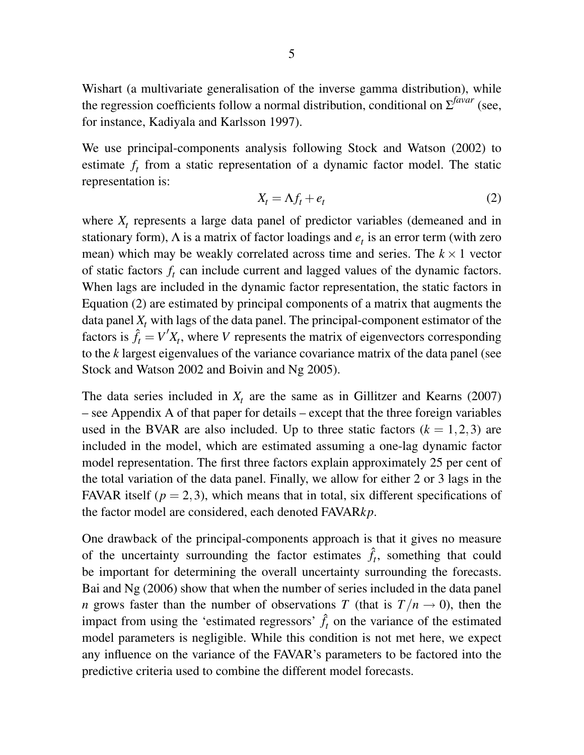Wishart (a multivariate generalisation of the inverse gamma distribution), while the regression coefficients follow a normal distribution, conditional on  $\Sigma^{favar}$  (see, for instance, Kadiyala and Karlsson 1997).

We use principal-components analysis following Stock and Watson (2002) to estimate  $f_t$  from a static representation of a dynamic factor model. The static representation is:

$$
X_t = \Lambda f_t + e_t \tag{2}
$$

where  $X_t$  represents a large data panel of predictor variables (demeaned and in stationary form),  $\Lambda$  is a matrix of factor loadings and  $e_t$  is an error term (with zero mean) which may be weakly correlated across time and series. The  $k \times 1$  vector of static factors  $f_t$  can include current and lagged values of the dynamic factors. When lags are included in the dynamic factor representation, the static factors in Equation (2) are estimated by principal components of a matrix that augments the data panel  $X_t$  with lags of the data panel. The principal-component estimator of the factors is  $\hat{f}_t = V'X_t$ , where *V* represents the matrix of eigenvectors corresponding to the *k* largest eigenvalues of the variance covariance matrix of the data panel (see Stock and Watson 2002 and Boivin and Ng 2005).

The data series included in  $X_t$  are the same as in Gillitzer and Kearns (2007) – see Appendix A of that paper for details – except that the three foreign variables used in the BVAR are also included. Up to three static factors  $(k = 1, 2, 3)$  are included in the model, which are estimated assuming a one-lag dynamic factor model representation. The first three factors explain approximately 25 per cent of the total variation of the data panel. Finally, we allow for either 2 or 3 lags in the FAVAR itself ( $p = 2,3$ ), which means that in total, six different specifications of the factor model are considered, each denoted FAVAR*kp*.

One drawback of the principal-components approach is that it gives no measure of the uncertainty surrounding the factor estimates  $\hat{f}_t$ , something that could be important for determining the overall uncertainty surrounding the forecasts. Bai and Ng (2006) show that when the number of series included in the data panel *n* grows faster than the number of observations *T* (that is  $T/n \rightarrow 0$ ), then the impact from using the 'estimated regressors'  $\hat{f}_t$  on the variance of the estimated model parameters is negligible. While this condition is not met here, we expect any influence on the variance of the FAVAR's parameters to be factored into the predictive criteria used to combine the different model forecasts.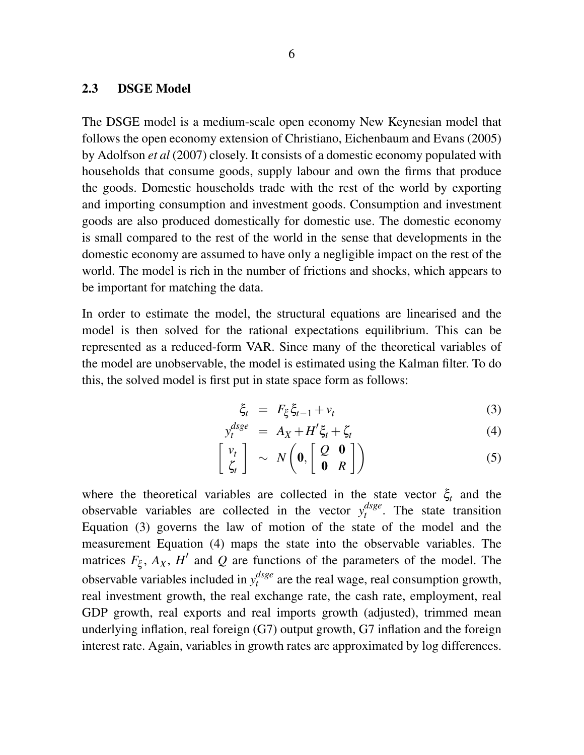### 2.3 DSGE Model

The DSGE model is a medium-scale open economy New Keynesian model that follows the open economy extension of Christiano, Eichenbaum and Evans (2005) by Adolfson *et al* (2007) closely. It consists of a domestic economy populated with households that consume goods, supply labour and own the firms that produce the goods. Domestic households trade with the rest of the world by exporting and importing consumption and investment goods. Consumption and investment goods are also produced domestically for domestic use. The domestic economy is small compared to the rest of the world in the sense that developments in the domestic economy are assumed to have only a negligible impact on the rest of the world. The model is rich in the number of frictions and shocks, which appears to be important for matching the data.

In order to estimate the model, the structural equations are linearised and the model is then solved for the rational expectations equilibrium. This can be represented as a reduced-form VAR. Since many of the theoretical variables of the model are unobservable, the model is estimated using the Kalman filter. To do this, the solved model is first put in state space form as follows:

$$
\xi_t = F_{\xi} \xi_{t-1} + v_t \tag{3}
$$

$$
y_t^{dsge} = A_X + H'\xi_t + \zeta_t \tag{4}
$$

$$
\left[\begin{array}{c} v_t \\ \zeta_t \end{array}\right] \sim N\left(\mathbf{0}, \left[\begin{array}{cc} Q & \mathbf{0} \\ \mathbf{0} & R \end{array}\right]\right) \tag{5}
$$

where the theoretical variables are collected in the state vector  $\xi_t$  and the observable variables are collected in the vector  $y_t^{dsge}$  $t^{usge}$ . The state transition Equation (3) governs the law of motion of the state of the model and the measurement Equation (4) maps the state into the observable variables. The matrices  $F_{\xi}$ ,  $A_X$ ,  $H'$  and  $Q$  are functions of the parameters of the model. The observable variables included in  $y_t^{dsge}$  $t_t^{angle}$  are the real wage, real consumption growth, real investment growth, the real exchange rate, the cash rate, employment, real GDP growth, real exports and real imports growth (adjusted), trimmed mean underlying inflation, real foreign (G7) output growth, G7 inflation and the foreign interest rate. Again, variables in growth rates are approximated by log differences.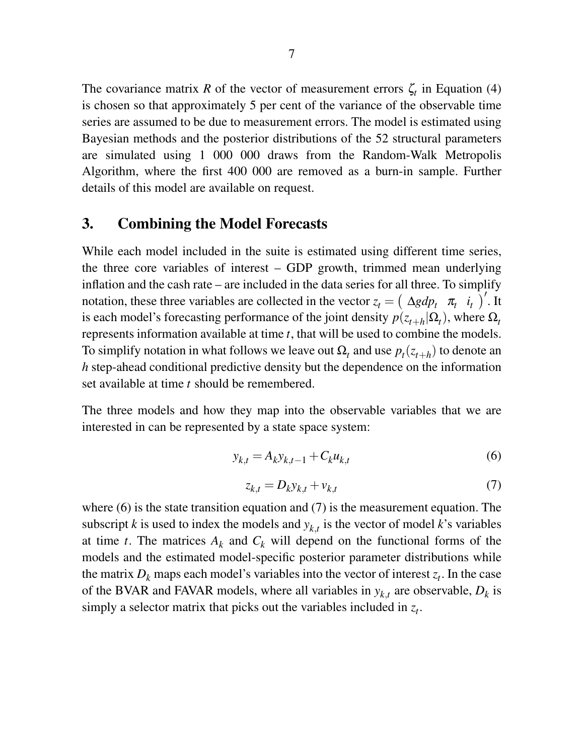The covariance matrix *R* of the vector of measurement errors  $\zeta_t$  in Equation (4) is chosen so that approximately 5 per cent of the variance of the observable time series are assumed to be due to measurement errors. The model is estimated using Bayesian methods and the posterior distributions of the 52 structural parameters are simulated using 1 000 000 draws from the Random-Walk Metropolis Algorithm, where the first 400 000 are removed as a burn-in sample. Further details of this model are available on request.

## 3. Combining the Model Forecasts

While each model included in the suite is estimated using different time series, the three core variables of interest – GDP growth, trimmed mean underlying inflation and the cash rate – are included in the data series for all three. To simplify notation, these three variables are collected in the vector  $z_t = (\Delta g d p_t \ \pi_t \ i_t)^T$ . It is each model's forecasting performance of the joint density  $p(z_{t+h} | \Omega_t)$ , where  $\Omega_t$ represents information available at time *t*, that will be used to combine the models. To simplify notation in what follows we leave out  $\Omega_t$  and use  $p_t(z_{t+h})$  to denote an *h* step-ahead conditional predictive density but the dependence on the information set available at time *t* should be remembered.

The three models and how they map into the observable variables that we are interested in can be represented by a state space system:

$$
y_{k,t} = A_k y_{k,t-1} + C_k u_{k,t}
$$
 (6)

$$
z_{k,t} = D_k y_{k,t} + v_{k,t} \tag{7}
$$

where (6) is the state transition equation and (7) is the measurement equation. The subscript *k* is used to index the models and  $y_{k,t}$  is the vector of model *k*'s variables at time *t*. The matrices  $A_k$  and  $C_k$  will depend on the functional forms of the models and the estimated model-specific posterior parameter distributions while the matrix  $D_k$  maps each model's variables into the vector of interest  $z_t$ . In the case of the BVAR and FAVAR models, where all variables in  $y_{k,t}$  are observable,  $D_k$  is simply a selector matrix that picks out the variables included in  $z_t$ .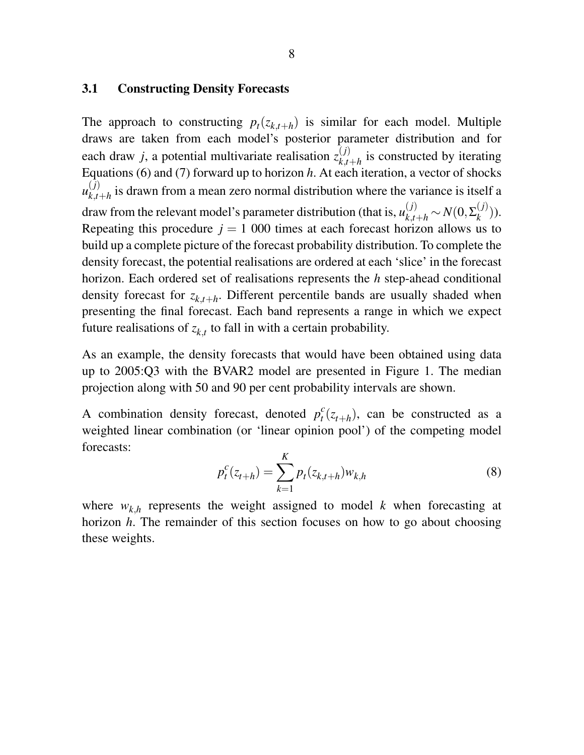### 3.1 Constructing Density Forecasts

The approach to constructing  $p_t(z_{k,t+h})$  is similar for each model. Multiple draws are taken from each model's posterior parameter distribution and for each draw *j*, a potential multivariate realisation  $z_{k,t}^{(j)}$  $\sum_{k,t+h}^{(J)}$  is constructed by iterating Equations (6) and (7) forward up to horizon *h*. At each iteration, a vector of shocks  $u_{k,t}^{(j)}$  $\chi_{k,t+h}^{(1)}$  is drawn from a mean zero normal distribution where the variance is itself a draw from the relevant model's parameter distribution (that is,  $u_{k,t+h}^{(j)} \sim N(0,\Sigma_k^{(j)})$  $\binom{(J)}{k}$ . Repeating this procedure  $j = 1000$  times at each forecast horizon allows us to build up a complete picture of the forecast probability distribution. To complete the density forecast, the potential realisations are ordered at each 'slice' in the forecast horizon. Each ordered set of realisations represents the *h* step-ahead conditional density forecast for *zk*,*t*+*<sup>h</sup>* . Different percentile bands are usually shaded when presenting the final forecast. Each band represents a range in which we expect future realisations of  $z_{k,t}$  to fall in with a certain probability.

As an example, the density forecasts that would have been obtained using data up to 2005:Q3 with the BVAR2 model are presented in Figure 1. The median projection along with 50 and 90 per cent probability intervals are shown.

A combination density forecast, denoted  $p_t^c$  $t^{c}(z_{t+h})$ , can be constructed as a weighted linear combination (or 'linear opinion pool') of the competing model forecasts:  $\overline{\nu}$ 

$$
p_t^c(z_{t+h}) = \sum_{k=1}^K p_t(z_{k,t+h}) w_{k,h}
$$
 (8)

where  $w_{k,h}$  represents the weight assigned to model *k* when forecasting at horizon *h*. The remainder of this section focuses on how to go about choosing these weights.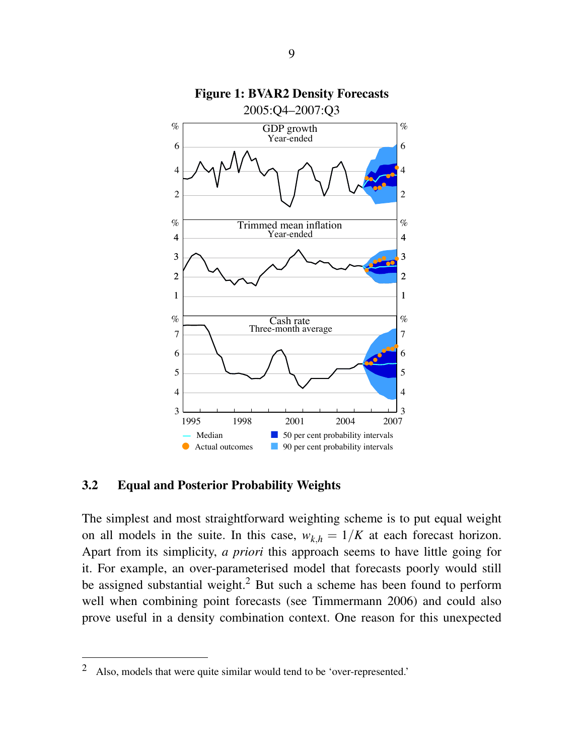

# Figure 1: BVAR2 Density Forecasts

### 3.2 Equal and Posterior Probability Weights

The simplest and most straightforward weighting scheme is to put equal weight on all models in the suite. In this case,  $w_{k,h} = 1/K$  at each forecast horizon. Apart from its simplicity, *a priori* this approach seems to have little going for it. For example, an over-parameterised model that forecasts poorly would still be assigned substantial weight.<sup>2</sup> But such a scheme has been found to perform well when combining point forecasts (see Timmermann 2006) and could also prove useful in a density combination context. One reason for this unexpected

<sup>&</sup>lt;sup>2</sup> Also, models that were quite similar would tend to be 'over-represented.'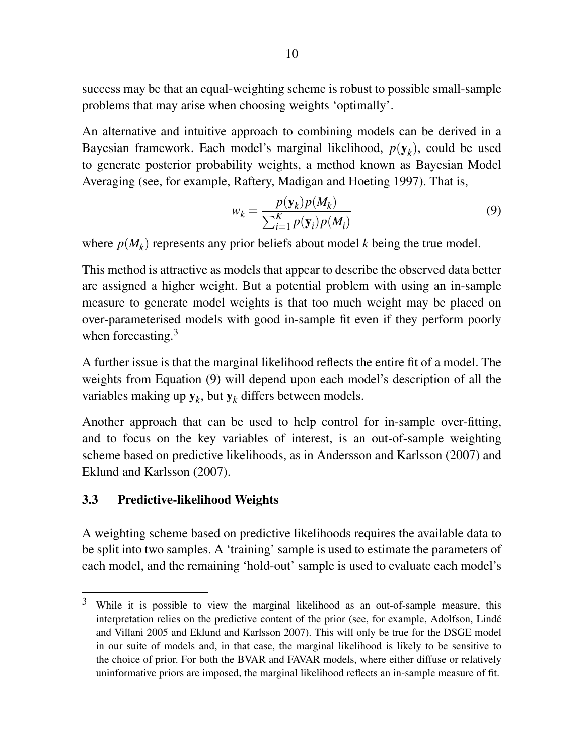success may be that an equal-weighting scheme is robust to possible small-sample problems that may arise when choosing weights 'optimally'.

An alternative and intuitive approach to combining models can be derived in a Bayesian framework. Each model's marginal likelihood, *p*(y*<sup>k</sup>* ), could be used to generate posterior probability weights, a method known as Bayesian Model Averaging (see, for example, Raftery, Madigan and Hoeting 1997). That is,

$$
w_k = \frac{p(\mathbf{y}_k)p(M_k)}{\sum_{i=1}^K p(\mathbf{y}_i)p(M_i)}
$$
(9)

where  $p(M_k)$  represents any prior beliefs about model *k* being the true model.

This method is attractive as models that appear to describe the observed data better are assigned a higher weight. But a potential problem with using an in-sample measure to generate model weights is that too much weight may be placed on over-parameterised models with good in-sample fit even if they perform poorly when forecasting.<sup>3</sup>

A further issue is that the marginal likelihood reflects the entire fit of a model. The weights from Equation (9) will depend upon each model's description of all the variables making up  $y_k$ , but  $y_k$  differs between models.

Another approach that can be used to help control for in-sample over-fitting, and to focus on the key variables of interest, is an out-of-sample weighting scheme based on predictive likelihoods, as in Andersson and Karlsson (2007) and Eklund and Karlsson (2007).

### 3.3 Predictive-likelihood Weights

A weighting scheme based on predictive likelihoods requires the available data to be split into two samples. A 'training' sample is used to estimate the parameters of each model, and the remaining 'hold-out' sample is used to evaluate each model's

<sup>3</sup> While it is possible to view the marginal likelihood as an out-of-sample measure, this interpretation relies on the predictive content of the prior (see, for example, Adolfson, Linde´ and Villani 2005 and Eklund and Karlsson 2007). This will only be true for the DSGE model in our suite of models and, in that case, the marginal likelihood is likely to be sensitive to the choice of prior. For both the BVAR and FAVAR models, where either diffuse or relatively uninformative priors are imposed, the marginal likelihood reflects an in-sample measure of fit.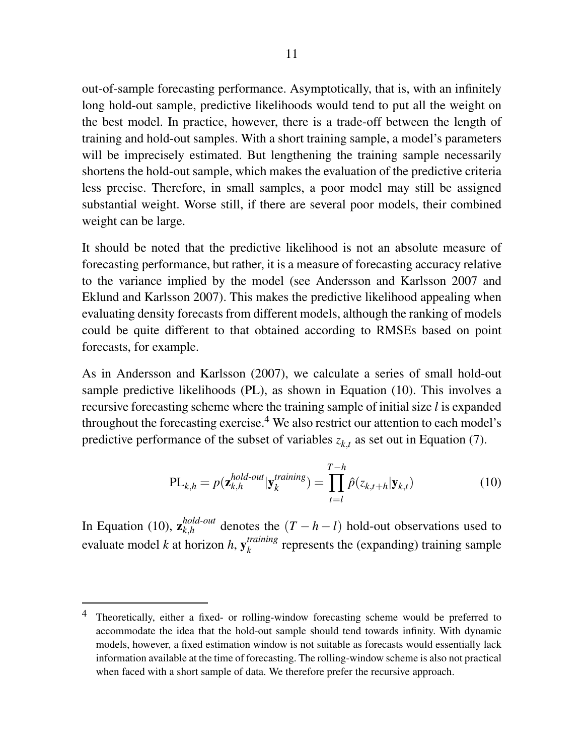out-of-sample forecasting performance. Asymptotically, that is, with an infinitely long hold-out sample, predictive likelihoods would tend to put all the weight on the best model. In practice, however, there is a trade-off between the length of training and hold-out samples. With a short training sample, a model's parameters will be imprecisely estimated. But lengthening the training sample necessarily shortens the hold-out sample, which makes the evaluation of the predictive criteria less precise. Therefore, in small samples, a poor model may still be assigned substantial weight. Worse still, if there are several poor models, their combined weight can be large.

It should be noted that the predictive likelihood is not an absolute measure of forecasting performance, but rather, it is a measure of forecasting accuracy relative to the variance implied by the model (see Andersson and Karlsson 2007 and Eklund and Karlsson 2007). This makes the predictive likelihood appealing when evaluating density forecasts from different models, although the ranking of models could be quite different to that obtained according to RMSEs based on point forecasts, for example.

As in Andersson and Karlsson (2007), we calculate a series of small hold-out sample predictive likelihoods (PL), as shown in Equation (10). This involves a recursive forecasting scheme where the training sample of initial size *l* is expanded throughout the forecasting exercise.<sup>4</sup> We also restrict our attention to each model's predictive performance of the subset of variables  $z_{k,t}$  as set out in Equation (7).

$$
PL_{k,h} = p(\mathbf{z}_{k,h}^{hold-out} | \mathbf{y}_k^{training}) = \prod_{t=l}^{T-h} \hat{p}(z_{k,t+h} | \mathbf{y}_{k,t})
$$
(10)

In Equation (10),  $\mathbf{z}_{k,h}^{hold-out}$  denotes the  $(T - h - l)$  hold-out observations used to evaluate model *k* at horizon *h*, y *training*  $\frac{r}{k}$  represents the (expanding) training sample

<sup>&</sup>lt;sup>4</sup> Theoretically, either a fixed- or rolling-window forecasting scheme would be preferred to accommodate the idea that the hold-out sample should tend towards infinity. With dynamic models, however, a fixed estimation window is not suitable as forecasts would essentially lack information available at the time of forecasting. The rolling-window scheme is also not practical when faced with a short sample of data. We therefore prefer the recursive approach.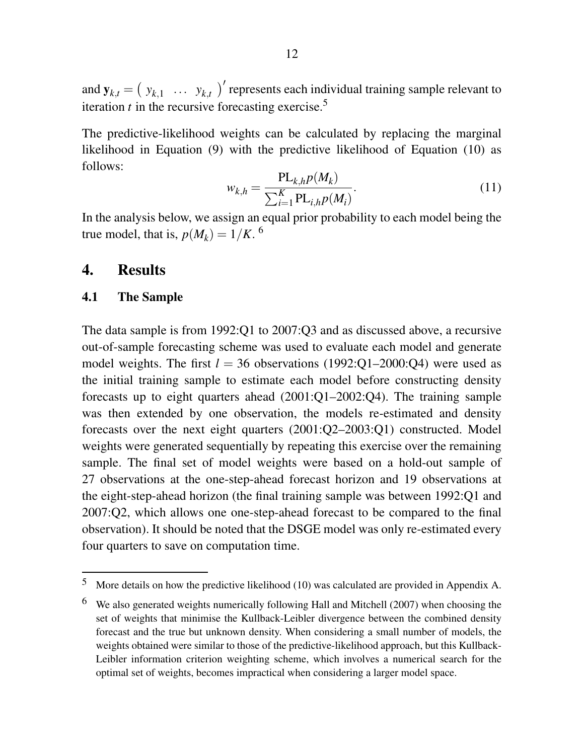and  $y_{k,t} = (y_{k,1} \dots y_{k,t})'$  represents each individual training sample relevant to iteration  $t$  in the recursive forecasting exercise.<sup>5</sup>

The predictive-likelihood weights can be calculated by replacing the marginal likelihood in Equation (9) with the predictive likelihood of Equation (10) as follows:

$$
w_{k,h} = \frac{\text{PL}_{k,h} p(M_k)}{\sum_{i=1}^{K} \text{PL}_{i,h} p(M_i)}.
$$
\n(11)

In the analysis below, we assign an equal prior probability to each model being the true model, that is,  $p(M_k) = 1/K$ . <sup>6</sup>

# 4. Results

### 4.1 The Sample

The data sample is from 1992:Q1 to 2007:Q3 and as discussed above, a recursive out-of-sample forecasting scheme was used to evaluate each model and generate model weights. The first  $l = 36$  observations (1992:Q1–2000:Q4) were used as the initial training sample to estimate each model before constructing density forecasts up to eight quarters ahead (2001:Q1–2002:Q4). The training sample was then extended by one observation, the models re-estimated and density forecasts over the next eight quarters (2001:Q2–2003:Q1) constructed. Model weights were generated sequentially by repeating this exercise over the remaining sample. The final set of model weights were based on a hold-out sample of 27 observations at the one-step-ahead forecast horizon and 19 observations at the eight-step-ahead horizon (the final training sample was between 1992:Q1 and 2007:Q2, which allows one one-step-ahead forecast to be compared to the final observation). It should be noted that the DSGE model was only re-estimated every four quarters to save on computation time.

<sup>5</sup> More details on how the predictive likelihood (10) was calculated are provided in Appendix A.

<sup>6</sup> We also generated weights numerically following Hall and Mitchell (2007) when choosing the set of weights that minimise the Kullback-Leibler divergence between the combined density forecast and the true but unknown density. When considering a small number of models, the weights obtained were similar to those of the predictive-likelihood approach, but this Kullback-Leibler information criterion weighting scheme, which involves a numerical search for the optimal set of weights, becomes impractical when considering a larger model space.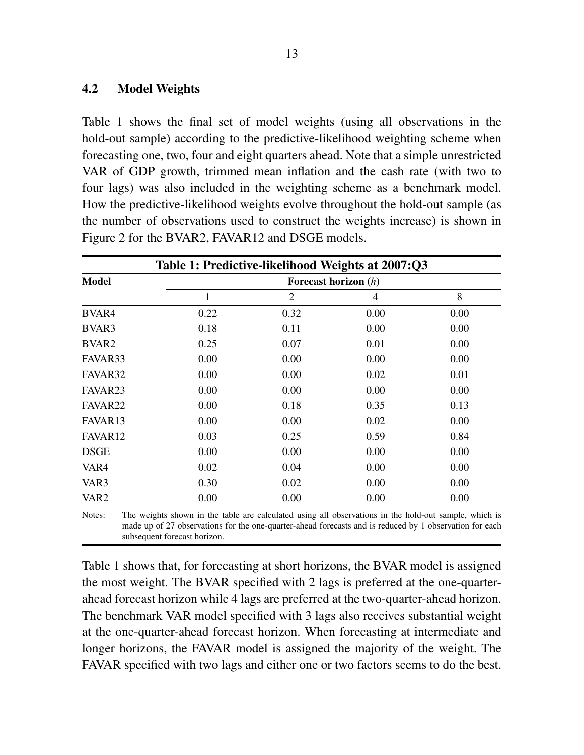### 4.2 Model Weights

Table 1 shows the final set of model weights (using all observations in the hold-out sample) according to the predictive-likelihood weighting scheme when forecasting one, two, four and eight quarters ahead. Note that a simple unrestricted VAR of GDP growth, trimmed mean inflation and the cash rate (with two to four lags) was also included in the weighting scheme as a benchmark model. How the predictive-likelihood weights evolve throughout the hold-out sample (as the number of observations used to construct the weights increase) is shown in Figure 2 for the BVAR2, FAVAR12 and DSGE models.

|                     | Table 1: Predictive-likelihood Weights at 2007:Q3 |                |      |      |
|---------------------|---------------------------------------------------|----------------|------|------|
| <b>Model</b>        |                                                   |                |      |      |
|                     | $\mathbf{1}$                                      | $\overline{2}$ | 4    | 8    |
| BVAR4               | 0.22                                              | 0.32           | 0.00 | 0.00 |
| BVAR3               | 0.18                                              | 0.11           | 0.00 | 0.00 |
| BVAR <sub>2</sub>   | 0.25                                              | 0.07           | 0.01 | 0.00 |
| FAVAR33             | 0.00                                              | 0.00           | 0.00 | 0.00 |
| FAVAR32             | 0.00                                              | 0.00           | 0.02 | 0.01 |
| FAVAR <sub>23</sub> | 0.00                                              | 0.00           | 0.00 | 0.00 |
| FAVAR <sub>22</sub> | 0.00                                              | 0.18           | 0.35 | 0.13 |
| FAVAR <sub>13</sub> | 0.00                                              | 0.00           | 0.02 | 0.00 |
| FAVAR12             | 0.03                                              | 0.25           | 0.59 | 0.84 |
| <b>DSGE</b>         | 0.00                                              | 0.00           | 0.00 | 0.00 |
| VAR4                | 0.02                                              | 0.04           | 0.00 | 0.00 |
| VAR3                | 0.30                                              | 0.02           | 0.00 | 0.00 |
| VAR <sub>2</sub>    | 0.00                                              | 0.00           | 0.00 | 0.00 |

Notes: The weights shown in the table are calculated using all observations in the hold-out sample, which is made up of 27 observations for the one-quarter-ahead forecasts and is reduced by 1 observation for each subsequent forecast horizon.

Table 1 shows that, for forecasting at short horizons, the BVAR model is assigned the most weight. The BVAR specified with 2 lags is preferred at the one-quarterahead forecast horizon while 4 lags are preferred at the two-quarter-ahead horizon. The benchmark VAR model specified with 3 lags also receives substantial weight at the one-quarter-ahead forecast horizon. When forecasting at intermediate and longer horizons, the FAVAR model is assigned the majority of the weight. The FAVAR specified with two lags and either one or two factors seems to do the best.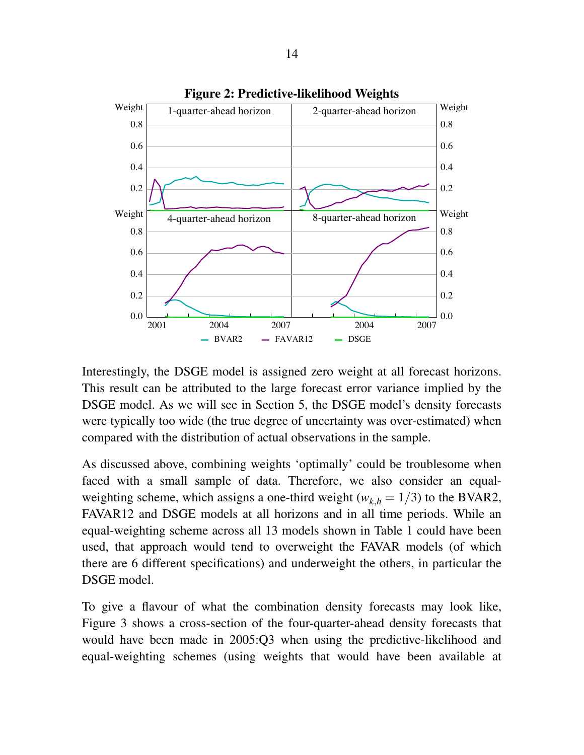

Interestingly, the DSGE model is assigned zero weight at all forecast horizons. This result can be attributed to the large forecast error variance implied by the DSGE model. As we will see in Section 5, the DSGE model's density forecasts were typically too wide (the true degree of uncertainty was over-estimated) when compared with the distribution of actual observations in the sample.

As discussed above, combining weights 'optimally' could be troublesome when faced with a small sample of data. Therefore, we also consider an equalweighting scheme, which assigns a one-third weight ( $w_{k,h} = 1/3$ ) to the BVAR2, FAVAR12 and DSGE models at all horizons and in all time periods. While an equal-weighting scheme across all 13 models shown in Table 1 could have been used, that approach would tend to overweight the FAVAR models (of which there are 6 different specifications) and underweight the others, in particular the DSGE model.

To give a flavour of what the combination density forecasts may look like, Figure 3 shows a cross-section of the four-quarter-ahead density forecasts that would have been made in 2005:Q3 when using the predictive-likelihood and equal-weighting schemes (using weights that would have been available at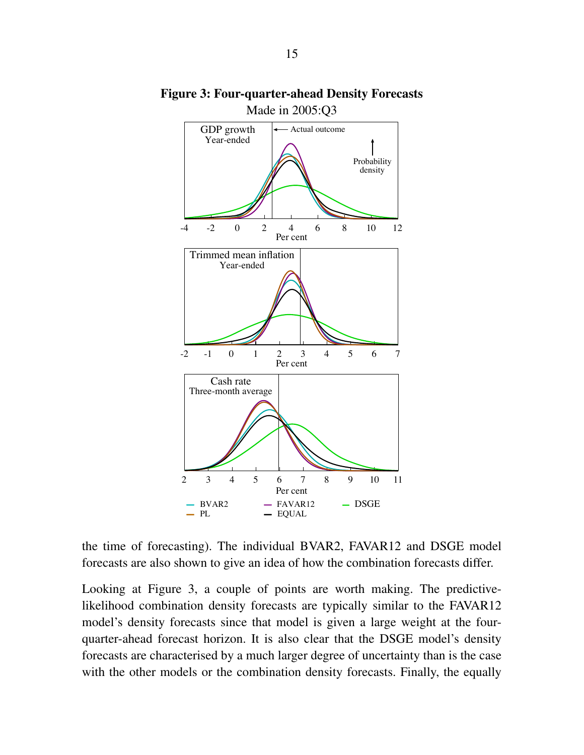

Figure 3: Four-quarter-ahead Density Forecasts Made in 2005:Q3

the time of forecasting). The individual BVAR2, FAVAR12 and DSGE model forecasts are also shown to give an idea of how the combination forecasts differ.

Looking at Figure 3, a couple of points are worth making. The predictivelikelihood combination density forecasts are typically similar to the FAVAR12 model's density forecasts since that model is given a large weight at the fourquarter-ahead forecast horizon. It is also clear that the DSGE model's density forecasts are characterised by a much larger degree of uncertainty than is the case with the other models or the combination density forecasts. Finally, the equally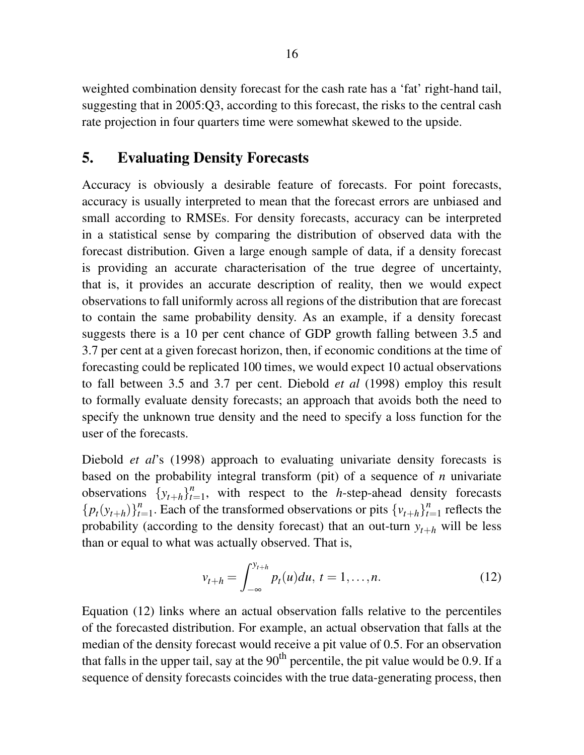weighted combination density forecast for the cash rate has a 'fat' right-hand tail, suggesting that in 2005:Q3, according to this forecast, the risks to the central cash rate projection in four quarters time were somewhat skewed to the upside.

# 5. Evaluating Density Forecasts

Accuracy is obviously a desirable feature of forecasts. For point forecasts, accuracy is usually interpreted to mean that the forecast errors are unbiased and small according to RMSEs. For density forecasts, accuracy can be interpreted in a statistical sense by comparing the distribution of observed data with the forecast distribution. Given a large enough sample of data, if a density forecast is providing an accurate characterisation of the true degree of uncertainty, that is, it provides an accurate description of reality, then we would expect observations to fall uniformly across all regions of the distribution that are forecast to contain the same probability density. As an example, if a density forecast suggests there is a 10 per cent chance of GDP growth falling between 3.5 and 3.7 per cent at a given forecast horizon, then, if economic conditions at the time of forecasting could be replicated 100 times, we would expect 10 actual observations to fall between 3.5 and 3.7 per cent. Diebold *et al* (1998) employ this result to formally evaluate density forecasts; an approach that avoids both the need to specify the unknown true density and the need to specify a loss function for the user of the forecasts.

Diebold *et al*'s (1998) approach to evaluating univariate density forecasts is based on the probability integral transform (pit) of a sequence of *n* univariate observations  $\{y_{t+h}\}_{t=1}^n$  $t_{t=1}^n$ , with respect to the *h*-step-ahead density forecasts  ${p_t(y_{t+h})}_{t=0}^n$  $t_{t=1}^n$ . Each of the transformed observations or pits  $\{v_{t+h}\}_{t=1}^n$  $t_{t=1}^n$  reflects the probability (according to the density forecast) that an out-turn  $y_{t+h}$  will be less than or equal to what was actually observed. That is,

$$
v_{t+h} = \int_{-\infty}^{y_{t+h}} p_t(u) du, \ t = 1, \dots, n. \tag{12}
$$

Equation (12) links where an actual observation falls relative to the percentiles of the forecasted distribution. For example, an actual observation that falls at the median of the density forecast would receive a pit value of 0.5. For an observation that falls in the upper tail, say at the  $90<sup>th</sup>$  percentile, the pit value would be 0.9. If a sequence of density forecasts coincides with the true data-generating process, then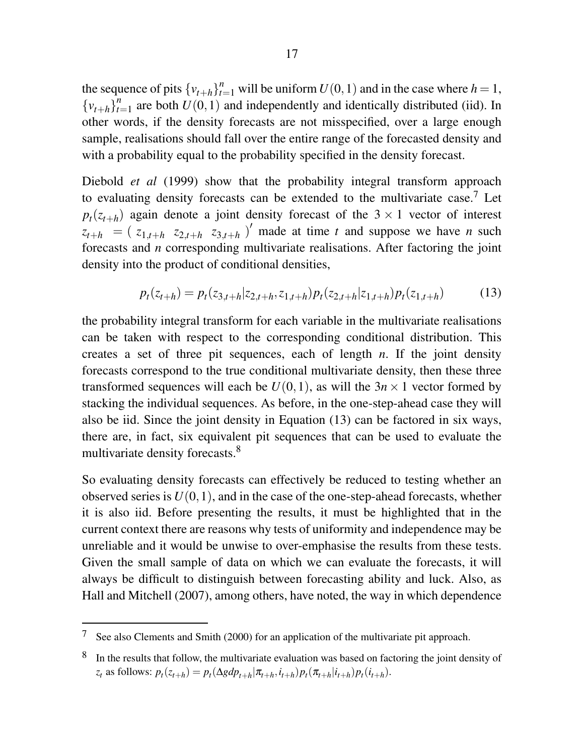the sequence of pits  $\{v_{t+h}\}_{t=1}^n$  will be uniform  $U(0,1)$  and in the case where  $h=1$ ,  ${v_{t+h}}_t^{\bar{n}}$  $t_{t=1}^{n}$  are both  $U(0, 1)$  and independently and identically distributed (iid). In other words, if the density forecasts are not misspecified, over a large enough sample, realisations should fall over the entire range of the forecasted density and with a probability equal to the probability specified in the density forecast.

Diebold *et al* (1999) show that the probability integral transform approach to evaluating density forecasts can be extended to the multivariate case.<sup>7</sup> Let  $p_t(z_{t+h})$  again denote a joint density forecast of the 3 × 1 vector of interest  $z_{t+h} = (z_{1,t+h} \ z_{2,t+h} \ z_{3,t+h})'$  made at time *t* and suppose we have *n* such forecasts and *n* corresponding multivariate realisations. After factoring the joint density into the product of conditional densities,

$$
p_t(z_{t+h}) = p_t(z_{3,t+h}|z_{2,t+h}, z_{1,t+h}) p_t(z_{2,t+h}|z_{1,t+h}) p_t(z_{1,t+h})
$$
(13)

the probability integral transform for each variable in the multivariate realisations can be taken with respect to the corresponding conditional distribution. This creates a set of three pit sequences, each of length *n*. If the joint density forecasts correspond to the true conditional multivariate density, then these three transformed sequences will each be  $U(0,1)$ , as will the  $3n \times 1$  vector formed by stacking the individual sequences. As before, in the one-step-ahead case they will also be iid. Since the joint density in Equation (13) can be factored in six ways, there are, in fact, six equivalent pit sequences that can be used to evaluate the multivariate density forecasts.<sup>8</sup>

So evaluating density forecasts can effectively be reduced to testing whether an observed series is  $U(0,1)$ , and in the case of the one-step-ahead forecasts, whether it is also iid. Before presenting the results, it must be highlighted that in the current context there are reasons why tests of uniformity and independence may be unreliable and it would be unwise to over-emphasise the results from these tests. Given the small sample of data on which we can evaluate the forecasts, it will always be difficult to distinguish between forecasting ability and luck. Also, as Hall and Mitchell (2007), among others, have noted, the way in which dependence

<sup>7</sup> See also Clements and Smith (2000) for an application of the multivariate pit approach.

<sup>8</sup> In the results that follow, the multivariate evaluation was based on factoring the joint density of  $z_t$  as follows:  $p_t(z_{t+h}) = p_t(\Delta g dp_{t+h} | \pi_{t+h}, i_{t+h}) p_t(\pi_{t+h} | i_{t+h}) p_t(i_{t+h}).$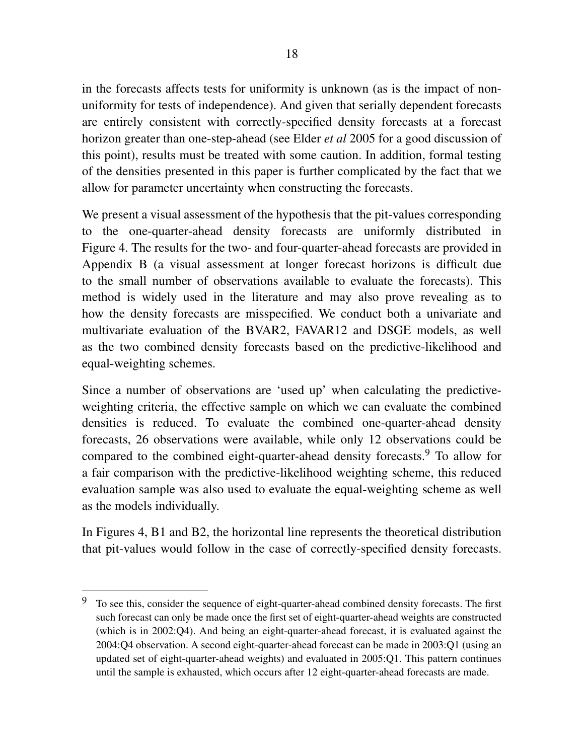in the forecasts affects tests for uniformity is unknown (as is the impact of nonuniformity for tests of independence). And given that serially dependent forecasts are entirely consistent with correctly-specified density forecasts at a forecast horizon greater than one-step-ahead (see Elder *et al* 2005 for a good discussion of this point), results must be treated with some caution. In addition, formal testing of the densities presented in this paper is further complicated by the fact that we allow for parameter uncertainty when constructing the forecasts.

We present a visual assessment of the hypothesis that the pit-values corresponding to the one-quarter-ahead density forecasts are uniformly distributed in Figure 4. The results for the two- and four-quarter-ahead forecasts are provided in Appendix B (a visual assessment at longer forecast horizons is difficult due to the small number of observations available to evaluate the forecasts). This method is widely used in the literature and may also prove revealing as to how the density forecasts are misspecified. We conduct both a univariate and multivariate evaluation of the BVAR2, FAVAR12 and DSGE models, as well as the two combined density forecasts based on the predictive-likelihood and equal-weighting schemes.

Since a number of observations are 'used up' when calculating the predictiveweighting criteria, the effective sample on which we can evaluate the combined densities is reduced. To evaluate the combined one-quarter-ahead density forecasts, 26 observations were available, while only 12 observations could be compared to the combined eight-quarter-ahead density forecasts.<sup>9</sup> To allow for a fair comparison with the predictive-likelihood weighting scheme, this reduced evaluation sample was also used to evaluate the equal-weighting scheme as well as the models individually.

In Figures 4, B1 and B2, the horizontal line represents the theoretical distribution that pit-values would follow in the case of correctly-specified density forecasts.

 $9\text{ T}$  To see this, consider the sequence of eight-quarter-ahead combined density forecasts. The first such forecast can only be made once the first set of eight-quarter-ahead weights are constructed (which is in 2002:Q4). And being an eight-quarter-ahead forecast, it is evaluated against the 2004:Q4 observation. A second eight-quarter-ahead forecast can be made in 2003:Q1 (using an updated set of eight-quarter-ahead weights) and evaluated in 2005:Q1. This pattern continues until the sample is exhausted, which occurs after 12 eight-quarter-ahead forecasts are made.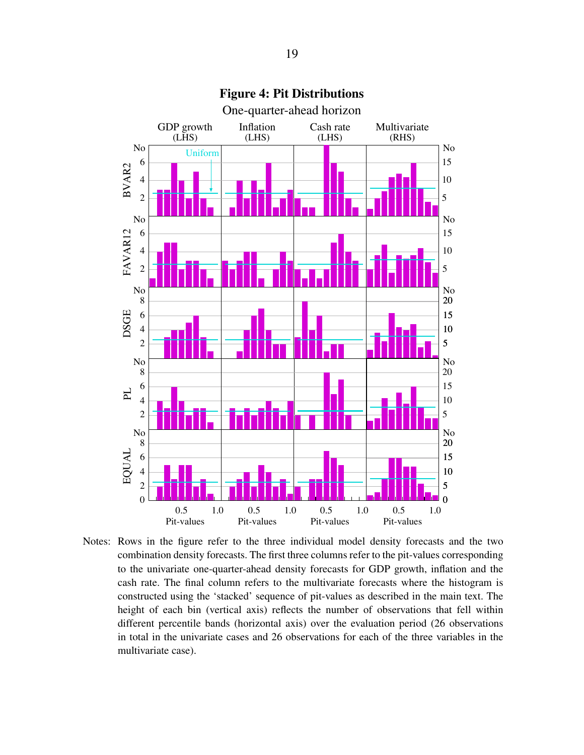

Figure 4: Pit Distributions

Notes: Rows in the figure refer to the three individual model density forecasts and the two combination density forecasts. The first three columns refer to the pit-values corresponding to the univariate one-quarter-ahead density forecasts for GDP growth, inflation and the cash rate. The final column refers to the multivariate forecasts where the histogram is constructed using the 'stacked' sequence of pit-values as described in the main text. The height of each bin (vertical axis) reflects the number of observations that fell within different percentile bands (horizontal axis) over the evaluation period (26 observations in total in the univariate cases and 26 observations for each of the three variables in the multivariate case).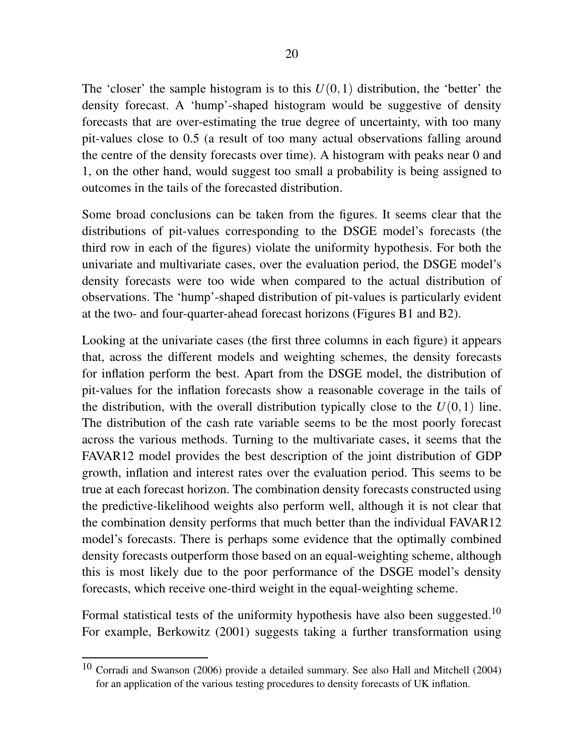The 'closer' the sample histogram is to this  $U(0,1)$  distribution, the 'better' the density forecast. A 'hump'-shaped histogram would be suggestive of density forecasts that are over-estimating the true degree of uncertainty, with too many pit-values close to 0.5 (a result of too many actual observations falling around the centre of the density forecasts over time). A histogram with peaks near 0 and 1, on the other hand, would suggest too small a probability is being assigned to outcomes in the tails of the forecasted distribution.

Some broad conclusions can be taken from the figures. It seems clear that the distributions of pit-values corresponding to the DSGE model's forecasts (the third row in each of the figures) violate the uniformity hypothesis. For both the univariate and multivariate cases, over the evaluation period, the DSGE model's density forecasts were too wide when compared to the actual distribution of observations. The 'hump'-shaped distribution of pit-values is particularly evident at the two- and four-quarter-ahead forecast horizons (Figures B1 and B2).

Looking at the univariate cases (the first three columns in each figure) it appears that, across the different models and weighting schemes, the density forecasts for inflation perform the best. Apart from the DSGE model, the distribution of pit-values for the inflation forecasts show a reasonable coverage in the tails of the distribution, with the overall distribution typically close to the  $U(0,1)$  line. The distribution of the cash rate variable seems to be the most poorly forecast across the various methods. Turning to the multivariate cases, it seems that the FAVAR12 model provides the best description of the joint distribution of GDP growth, inflation and interest rates over the evaluation period. This seems to be true at each forecast horizon. The combination density forecasts constructed using the predictive-likelihood weights also perform well, although it is not clear that the combination density performs that much better than the individual FAVAR12 model's forecasts. There is perhaps some evidence that the optimally combined density forecasts outperform those based on an equal-weighting scheme, although this is most likely due to the poor performance of the DSGE model's density forecasts, which receive one-third weight in the equal-weighting scheme.

Formal statistical tests of the uniformity hypothesis have also been suggested.<sup>10</sup> For example, Berkowitz (2001) suggests taking a further transformation using

<sup>10</sup> Corradi and Swanson (2006) provide a detailed summary. See also Hall and Mitchell (2004) for an application of the various testing procedures to density forecasts of UK inflation.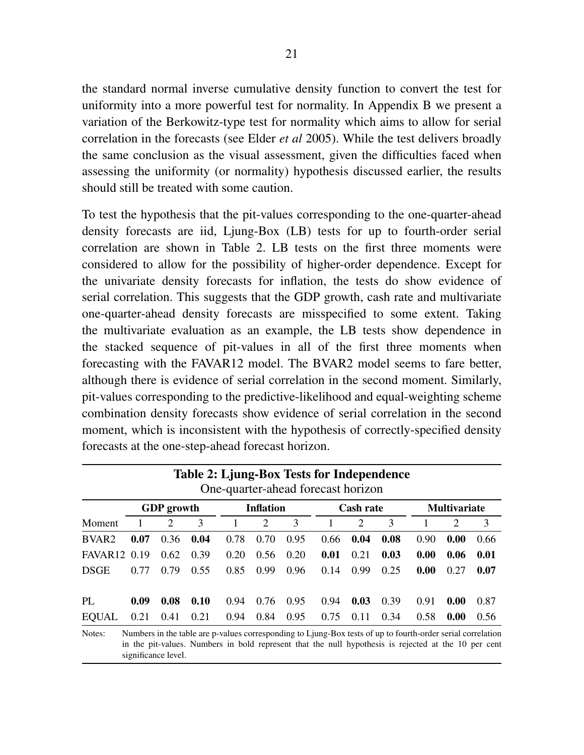the standard normal inverse cumulative density function to convert the test for uniformity into a more powerful test for normality. In Appendix B we present a variation of the Berkowitz-type test for normality which aims to allow for serial correlation in the forecasts (see Elder *et al* 2005). While the test delivers broadly the same conclusion as the visual assessment, given the difficulties faced when assessing the uniformity (or normality) hypothesis discussed earlier, the results should still be treated with some caution.

To test the hypothesis that the pit-values corresponding to the one-quarter-ahead density forecasts are iid, Ljung-Box (LB) tests for up to fourth-order serial correlation are shown in Table 2. LB tests on the first three moments were considered to allow for the possibility of higher-order dependence. Except for the univariate density forecasts for inflation, the tests do show evidence of serial correlation. This suggests that the GDP growth, cash rate and multivariate one-quarter-ahead density forecasts are misspecified to some extent. Taking the multivariate evaluation as an example, the LB tests show dependence in the stacked sequence of pit-values in all of the first three moments when forecasting with the FAVAR12 model. The BVAR2 model seems to fare better, although there is evidence of serial correlation in the second moment. Similarly, pit-values corresponding to the predictive-likelihood and equal-weighting scheme combination density forecasts show evidence of serial correlation in the second moment, which is inconsistent with the hypothesis of correctly-specified density forecasts at the one-step-ahead forecast horizon.

|                     |      | <b>GDP</b> growth |      |      | <b>Inflation</b> |      |      | <b>Cash rate</b> |      |      | <b>Multivariate</b> |      |
|---------------------|------|-------------------|------|------|------------------|------|------|------------------|------|------|---------------------|------|
| Moment              |      | 2                 | 3    | 1    | 2                | 3    | 1    | 2                | 3    |      | $\overline{2}$      | 3    |
| BVAR <sub>2</sub>   | 0.07 | 0.36              | 0.04 | 0.78 | 0.70             | 0.95 | 0.66 | 0.04             | 0.08 | 0.90 | 0.00                | 0.66 |
| FAVAR <sub>12</sub> | 0.19 | 0.62              | 0.39 | 0.20 | 0.56             | 0.20 | 0.01 | 0.21             | 0.03 | 0.00 | 0.06                | 0.01 |
| <b>DSGE</b>         | 0.77 | 0.79              | 0.55 | 0.85 | 0.99             | 0.96 | 0.14 | 0.99             | 0.25 | 0.00 | 0.27                | 0.07 |
| PI.                 | 0.09 | 0.08              | 0.10 | 0.94 | 0.76             | 0.95 | 0.94 | 0.03             | 0.39 | 0.91 | 0.00                | 0.87 |
| <b>EQUAL</b>        | 0.21 | 0.41              | 0.21 | 0.94 | 0.84             | 0.95 | 0.75 | 0.11             | 0.34 | 0.58 | 0.00                | 0.56 |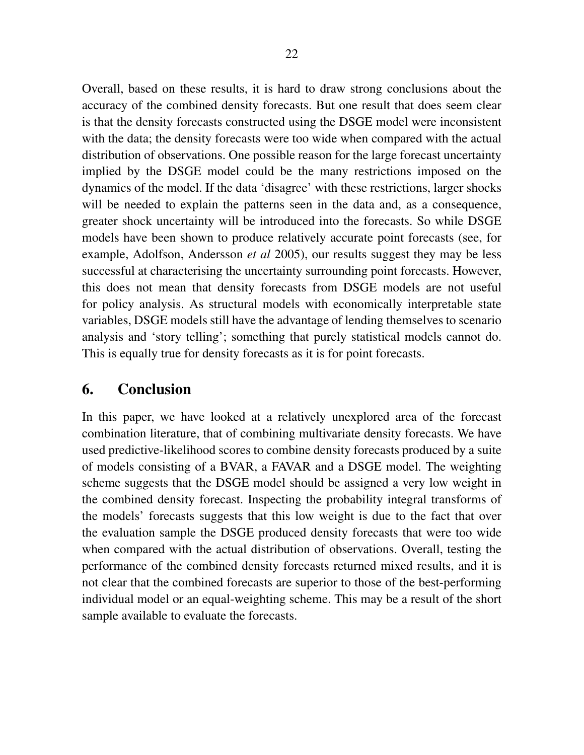Overall, based on these results, it is hard to draw strong conclusions about the accuracy of the combined density forecasts. But one result that does seem clear is that the density forecasts constructed using the DSGE model were inconsistent with the data; the density forecasts were too wide when compared with the actual distribution of observations. One possible reason for the large forecast uncertainty implied by the DSGE model could be the many restrictions imposed on the dynamics of the model. If the data 'disagree' with these restrictions, larger shocks will be needed to explain the patterns seen in the data and, as a consequence, greater shock uncertainty will be introduced into the forecasts. So while DSGE models have been shown to produce relatively accurate point forecasts (see, for example, Adolfson, Andersson *et al* 2005), our results suggest they may be less successful at characterising the uncertainty surrounding point forecasts. However, this does not mean that density forecasts from DSGE models are not useful for policy analysis. As structural models with economically interpretable state variables, DSGE models still have the advantage of lending themselves to scenario analysis and 'story telling'; something that purely statistical models cannot do. This is equally true for density forecasts as it is for point forecasts.

# 6. Conclusion

In this paper, we have looked at a relatively unexplored area of the forecast combination literature, that of combining multivariate density forecasts. We have used predictive-likelihood scores to combine density forecasts produced by a suite of models consisting of a BVAR, a FAVAR and a DSGE model. The weighting scheme suggests that the DSGE model should be assigned a very low weight in the combined density forecast. Inspecting the probability integral transforms of the models' forecasts suggests that this low weight is due to the fact that over the evaluation sample the DSGE produced density forecasts that were too wide when compared with the actual distribution of observations. Overall, testing the performance of the combined density forecasts returned mixed results, and it is not clear that the combined forecasts are superior to those of the best-performing individual model or an equal-weighting scheme. This may be a result of the short sample available to evaluate the forecasts.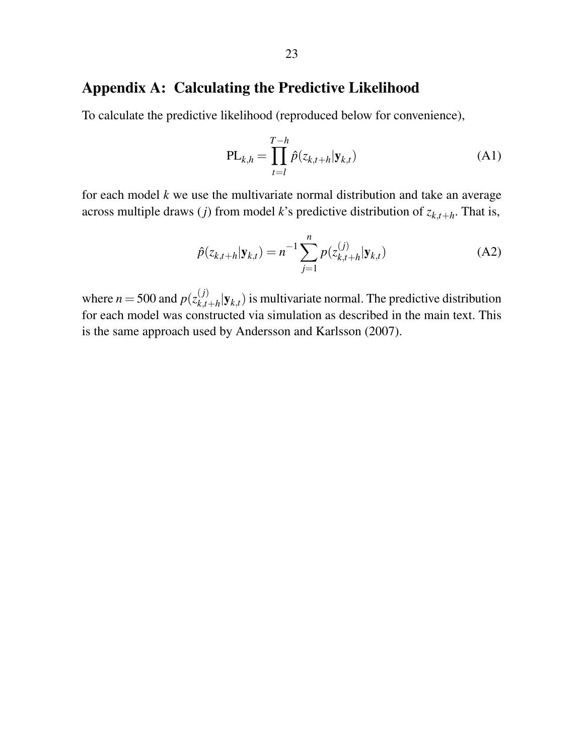# Appendix A: Calculating the Predictive Likelihood

To calculate the predictive likelihood (reproduced below for convenience),

$$
\text{PL}_{k,h} = \prod_{t=l}^{T-h} \hat{p}(z_{k,t+h}|\mathbf{y}_{k,t})
$$
\n(A1)

for each model *k* we use the multivariate normal distribution and take an average across multiple draws (*j*) from model *k*'s predictive distribution of *zk*,*t*+*<sup>h</sup>* . That is,

$$
\hat{p}(z_{k,t+h}|\mathbf{y}_{k,t}) = n^{-1} \sum_{j=1}^{n} p(z_{k,t+h}^{(j)}|\mathbf{y}_{k,t})
$$
\n(A2)

where  $n = 500$  and  $p(z_{k,t}^{(j)})$  $\mathbf{y}_{k,t+h}^{(J)}|\mathbf{y}_{k,t})$  is multivariate normal. The predictive distribution for each model was constructed via simulation as described in the main text. This is the same approach used by Andersson and Karlsson (2007).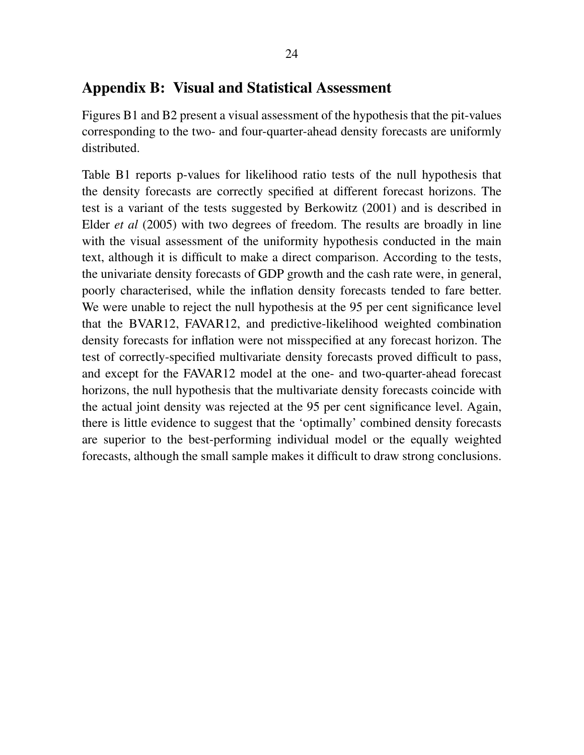## Appendix B: Visual and Statistical Assessment

Figures B1 and B2 present a visual assessment of the hypothesis that the pit-values corresponding to the two- and four-quarter-ahead density forecasts are uniformly distributed.

Table B1 reports p-values for likelihood ratio tests of the null hypothesis that the density forecasts are correctly specified at different forecast horizons. The test is a variant of the tests suggested by Berkowitz (2001) and is described in Elder *et al* (2005) with two degrees of freedom. The results are broadly in line with the visual assessment of the uniformity hypothesis conducted in the main text, although it is difficult to make a direct comparison. According to the tests, the univariate density forecasts of GDP growth and the cash rate were, in general, poorly characterised, while the inflation density forecasts tended to fare better. We were unable to reject the null hypothesis at the 95 per cent significance level that the BVAR12, FAVAR12, and predictive-likelihood weighted combination density forecasts for inflation were not misspecified at any forecast horizon. The test of correctly-specified multivariate density forecasts proved difficult to pass, and except for the FAVAR12 model at the one- and two-quarter-ahead forecast horizons, the null hypothesis that the multivariate density forecasts coincide with the actual joint density was rejected at the 95 per cent significance level. Again, there is little evidence to suggest that the 'optimally' combined density forecasts are superior to the best-performing individual model or the equally weighted forecasts, although the small sample makes it difficult to draw strong conclusions.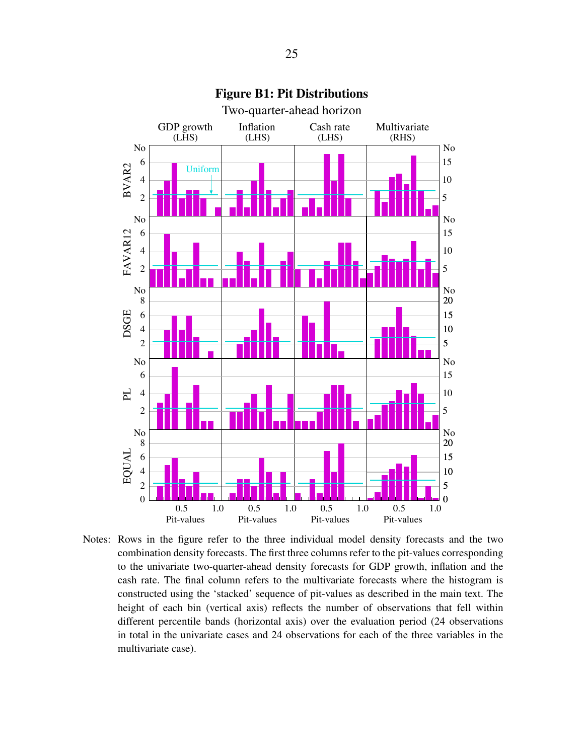

Figure B1: Pit Distributions

Notes: Rows in the figure refer to the three individual model density forecasts and the two combination density forecasts. The first three columns refer to the pit-values corresponding to the univariate two-quarter-ahead density forecasts for GDP growth, inflation and the cash rate. The final column refers to the multivariate forecasts where the histogram is constructed using the 'stacked' sequence of pit-values as described in the main text. The height of each bin (vertical axis) reflects the number of observations that fell within different percentile bands (horizontal axis) over the evaluation period (24 observations in total in the univariate cases and 24 observations for each of the three variables in the multivariate case).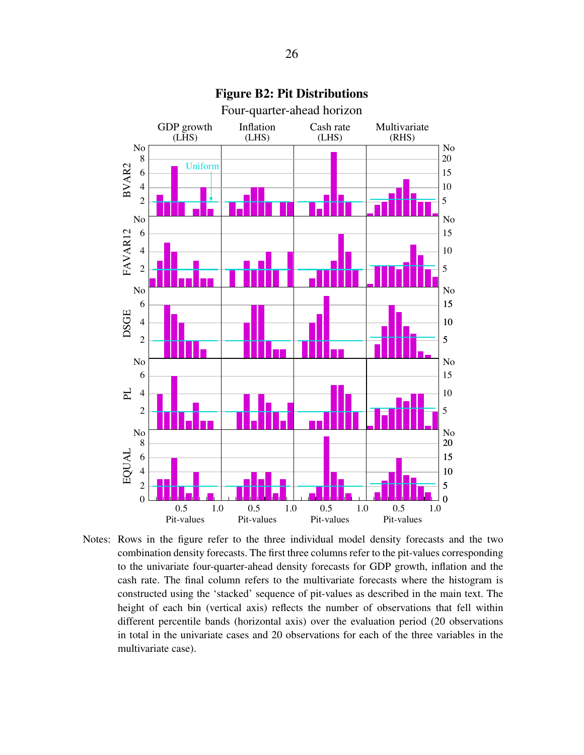

Figure B2: Pit Distributions

Notes: Rows in the figure refer to the three individual model density forecasts and the two combination density forecasts. The first three columns refer to the pit-values corresponding to the univariate four-quarter-ahead density forecasts for GDP growth, inflation and the cash rate. The final column refers to the multivariate forecasts where the histogram is constructed using the 'stacked' sequence of pit-values as described in the main text. The height of each bin (vertical axis) reflects the number of observations that fell within different percentile bands (horizontal axis) over the evaluation period (20 observations in total in the univariate cases and 20 observations for each of the three variables in the multivariate case).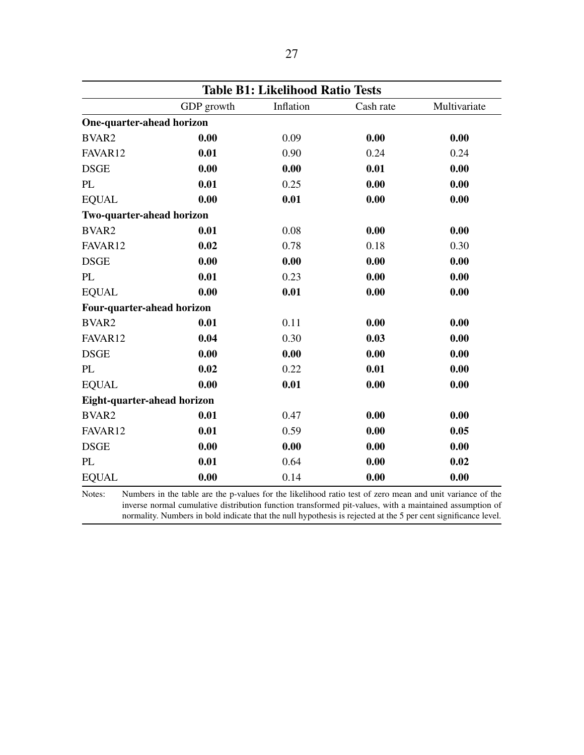| <b>Table B1: Likelihood Ratio Tests</b> |            |           |           |              |  |  |
|-----------------------------------------|------------|-----------|-----------|--------------|--|--|
|                                         | GDP growth | Inflation | Cash rate | Multivariate |  |  |
| One-quarter-ahead horizon               |            |           |           |              |  |  |
| BVAR2                                   | 0.00       | 0.09      | 0.00      | 0.00         |  |  |
| FAVAR12                                 | 0.01       | 0.90      | 0.24      | 0.24         |  |  |
| <b>DSGE</b>                             | 0.00       | 0.00      | 0.01      | 0.00         |  |  |
| PL                                      | 0.01       | 0.25      | 0.00      | 0.00         |  |  |
| <b>EQUAL</b>                            | 0.00       | 0.01      | 0.00      | 0.00         |  |  |
| Two-quarter-ahead horizon               |            |           |           |              |  |  |
| BVAR2                                   | 0.01       | 0.08      | 0.00      | 0.00         |  |  |
| FAVAR12                                 | 0.02       | 0.78      | 0.18      | 0.30         |  |  |
| <b>DSGE</b>                             | 0.00       | 0.00      | 0.00      | 0.00         |  |  |
| PL                                      | 0.01       | 0.23      | 0.00      | 0.00         |  |  |
| <b>EQUAL</b>                            | 0.00       | 0.01      | 0.00      | 0.00         |  |  |
| Four-quarter-ahead horizon              |            |           |           |              |  |  |
| BVAR2                                   | 0.01       | 0.11      | 0.00      | 0.00         |  |  |
| FAVAR12                                 | 0.04       | 0.30      | 0.03      | 0.00         |  |  |
| <b>DSGE</b>                             | 0.00       | 0.00      | 0.00      | 0.00         |  |  |
| PL                                      | 0.02       | 0.22      | 0.01      | 0.00         |  |  |
| <b>EQUAL</b>                            | 0.00       | 0.01      | 0.00      | 0.00         |  |  |
| Eight-quarter-ahead horizon             |            |           |           |              |  |  |
| BVAR2                                   | 0.01       | 0.47      | 0.00      | 0.00         |  |  |
| FAVAR12                                 | 0.01       | 0.59      | 0.00      | 0.05         |  |  |
| <b>DSGE</b>                             | 0.00       | 0.00      | 0.00      | 0.00         |  |  |
| PL                                      | 0.01       | 0.64      | 0.00      | 0.02         |  |  |
| <b>EQUAL</b>                            | 0.00       | 0.14      | 0.00      | 0.00         |  |  |

inverse normal cumulative distribution function transformed pit-values, with a maintained assumption of normality. Numbers in bold indicate that the null hypothesis is rejected at the 5 per cent significance level.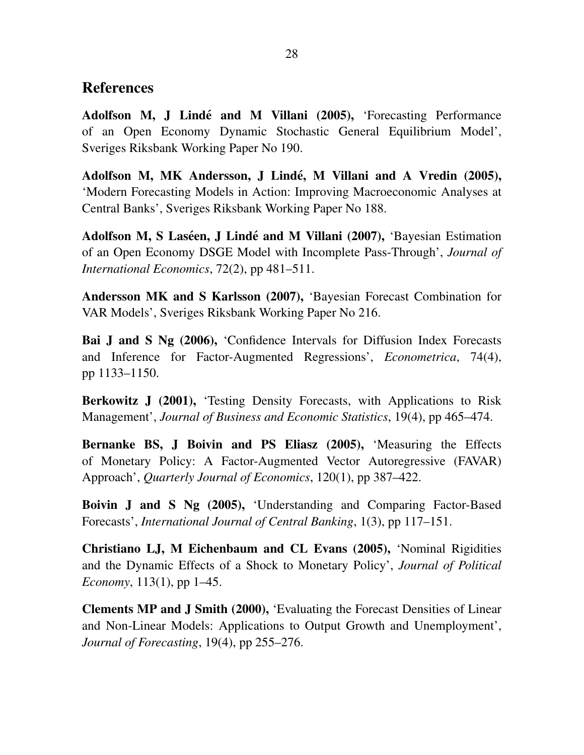## References

Adolfson M, J Lindé and M Villani (2005), 'Forecasting Performance of an Open Economy Dynamic Stochastic General Equilibrium Model', Sveriges Riksbank Working Paper No 190.

Adolfson M, MK Andersson, J Lindé, M Villani and A Vredin (2005), 'Modern Forecasting Models in Action: Improving Macroeconomic Analyses at Central Banks', Sveriges Riksbank Working Paper No 188.

Adolfson M, S Laséen, J Lindé and M Villani (2007), 'Bayesian Estimation of an Open Economy DSGE Model with Incomplete Pass-Through', *Journal of International Economics*, 72(2), pp 481–511.

Andersson MK and S Karlsson (2007), 'Bayesian Forecast Combination for VAR Models', Sveriges Riksbank Working Paper No 216.

Bai J and S Ng (2006), 'Confidence Intervals for Diffusion Index Forecasts and Inference for Factor-Augmented Regressions', *Econometrica*, 74(4), pp 1133–1150.

Berkowitz J (2001), 'Testing Density Forecasts, with Applications to Risk Management', *Journal of Business and Economic Statistics*, 19(4), pp 465–474.

Bernanke BS, J Boivin and PS Eliasz (2005), 'Measuring the Effects of Monetary Policy: A Factor-Augmented Vector Autoregressive (FAVAR) Approach', *Quarterly Journal of Economics*, 120(1), pp 387–422.

Boivin J and S Ng (2005), 'Understanding and Comparing Factor-Based Forecasts', *International Journal of Central Banking*, 1(3), pp 117–151.

Christiano LJ, M Eichenbaum and CL Evans (2005), 'Nominal Rigidities and the Dynamic Effects of a Shock to Monetary Policy', *Journal of Political Economy*, 113(1), pp 1–45.

Clements MP and J Smith (2000), 'Evaluating the Forecast Densities of Linear and Non-Linear Models: Applications to Output Growth and Unemployment', *Journal of Forecasting*, 19(4), pp 255–276.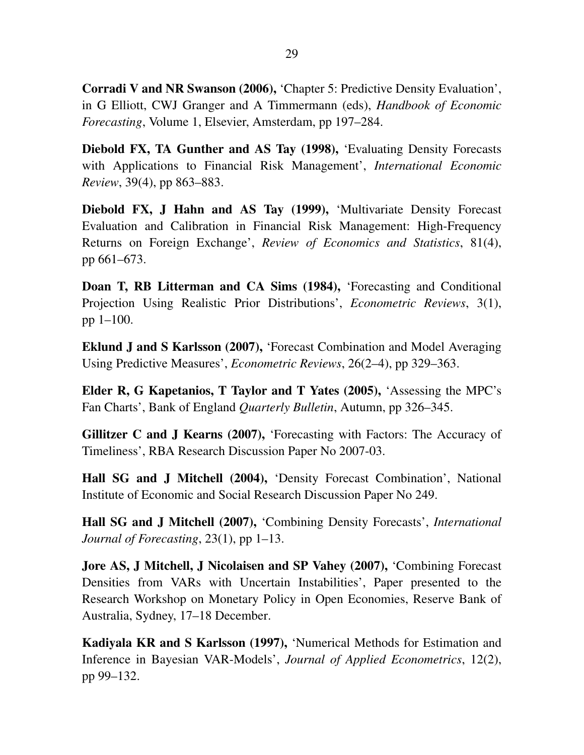Corradi V and NR Swanson (2006), 'Chapter 5: Predictive Density Evaluation', in G Elliott, CWJ Granger and A Timmermann (eds), *Handbook of Economic Forecasting*, Volume 1, Elsevier, Amsterdam, pp 197–284.

Diebold FX, TA Gunther and AS Tay (1998), 'Evaluating Density Forecasts with Applications to Financial Risk Management', *International Economic Review*, 39(4), pp 863–883.

Diebold FX, J Hahn and AS Tay (1999), 'Multivariate Density Forecast Evaluation and Calibration in Financial Risk Management: High-Frequency Returns on Foreign Exchange', *Review of Economics and Statistics*, 81(4), pp 661–673.

Doan T, RB Litterman and CA Sims (1984), 'Forecasting and Conditional Projection Using Realistic Prior Distributions', *Econometric Reviews*, 3(1), pp 1–100.

Eklund J and S Karlsson (2007), 'Forecast Combination and Model Averaging Using Predictive Measures', *Econometric Reviews*, 26(2–4), pp 329–363.

Elder R, G Kapetanios, T Taylor and T Yates (2005), 'Assessing the MPC's Fan Charts', Bank of England *Quarterly Bulletin*, Autumn, pp 326–345.

Gillitzer C and J Kearns (2007), 'Forecasting with Factors: The Accuracy of Timeliness', RBA Research Discussion Paper No 2007-03.

Hall SG and J Mitchell (2004), 'Density Forecast Combination', National Institute of Economic and Social Research Discussion Paper No 249.

Hall SG and J Mitchell (2007), 'Combining Density Forecasts', *International Journal of Forecasting*, 23(1), pp 1–13.

Jore AS, J Mitchell, J Nicolaisen and SP Vahey (2007), 'Combining Forecast Densities from VARs with Uncertain Instabilities', Paper presented to the Research Workshop on Monetary Policy in Open Economies, Reserve Bank of Australia, Sydney, 17–18 December.

Kadiyala KR and S Karlsson (1997), 'Numerical Methods for Estimation and Inference in Bayesian VAR-Models', *Journal of Applied Econometrics*, 12(2), pp 99–132.